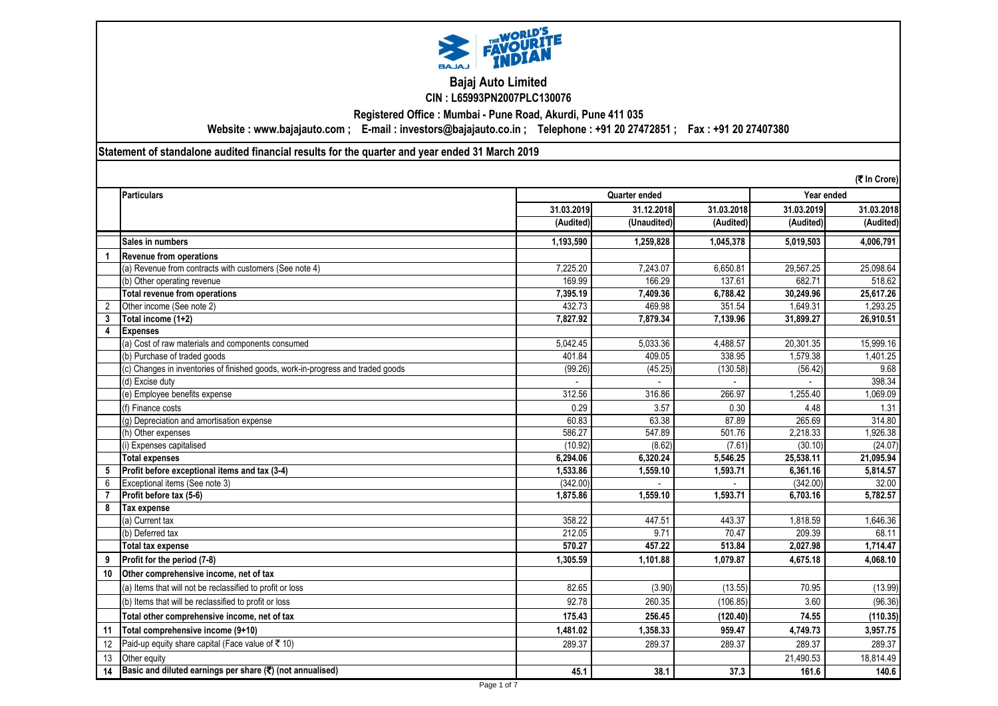

# **Bajaj Auto Limited CIN : L65993PN2007PLC130076**

**Registered Office : Mumbai - Pune Road, Akurdi, Pune 411 035**

**Website : www.bajajauto.com ; E-mail : investors@bajajauto.co.in ; Telephone : +91 20 27472851 ; Fax : +91 20 27407380**

**Statement of standalone audited financial results for the quarter and year ended 31 March 2019**

|                |                                                                                 |            |               |            |            | (₹ In Crore) |
|----------------|---------------------------------------------------------------------------------|------------|---------------|------------|------------|--------------|
|                | <b>Particulars</b>                                                              |            | Quarter ended |            | Year ended |              |
|                |                                                                                 | 31.03.2019 | 31.12.2018    | 31.03.2018 | 31.03.2019 | 31.03.2018   |
|                |                                                                                 | (Audited)  | (Unaudited)   | (Audited)  | (Audited)  | (Audited)    |
|                | Sales in numbers                                                                | 1,193,590  | 1,259,828     | 1,045,378  | 5,019,503  | 4,006,791    |
| 1              | <b>Revenue from operations</b>                                                  |            |               |            |            |              |
|                | (a) Revenue from contracts with customers (See note 4)                          | 7,225.20   | 7.243.07      | 6.650.81   | 29.567.25  | 25,098.64    |
|                | (b) Other operating revenue                                                     | 169.99     | 166.29        | 137.61     | 682.71     | 518.62       |
|                | <b>Total revenue from operations</b>                                            | 7,395.19   | 7,409.36      | 6,788.42   | 30,249.96  | 25,617.26    |
| $\overline{2}$ | Other income (See note 2)                                                       | 432.73     | 469.98        | 351.54     | 1,649.31   | 1,293.25     |
| 3              | Total income (1+2)                                                              | 7.827.92   | 7.879.34      | 7,139.96   | 31,899.27  | 26,910.51    |
| 4              | <b>Expenses</b>                                                                 |            |               |            |            |              |
|                | (a) Cost of raw materials and components consumed                               | 5.042.45   | 5.033.36      | 4.488.57   | 20,301.35  | 15.999.16    |
|                | (b) Purchase of traded goods                                                    | 401.84     | 409.05        | 338.95     | 1,579.38   | 1,401.25     |
|                | (c) Changes in inventories of finished goods, work-in-progress and traded goods | (99.26)    | (45.25)       | (130.58)   | (56.42)    | 9.68         |
|                | (d) Excise duty                                                                 |            |               |            |            | 398.34       |
|                | (e) Employee benefits expense                                                   | 312.56     | 316.86        | 266.97     | 1,255.40   | 1,069.09     |
|                | (f) Finance costs                                                               | 0.29       | 3.57          | 0.30       | 4.48       | 1.31         |
|                | (g) Depreciation and amortisation expense                                       | 60.83      | 63.38         | 87.89      | 265.69     | 314.80       |
|                | (h) Other expenses                                                              | 586.27     | 547.89        | 501.76     | 2,218.33   | 1,926.38     |
|                | ) Expenses capitalised                                                          | (10.92)    | (8.62)        | (7.61)     | (30.10)    | (24.07)      |
|                | <b>Total expenses</b>                                                           | 6,294.06   | 6,320.24      | 5,546.25   | 25,538.11  | 21,095.94    |
| 5              | Profit before exceptional items and tax (3-4)                                   | 1,533.86   | 1.559.10      | 1,593.71   | 6,361.16   | 5,814.57     |
| 6              | Exceptional items (See note 3)                                                  | (342.00)   |               |            | (342.00)   | 32.00        |
| $\overline{7}$ | Profit before tax (5-6)                                                         | 1,875.86   | 1.559.10      | 1.593.71   | 6.703.16   | 5,782.57     |
|                | Tax expense                                                                     |            |               |            |            |              |
|                | (a) Current tax                                                                 | 358.22     | 447.51        | 443.37     | 1,818.59   | 1,646.36     |
|                | (b) Deferred tax                                                                | 212.05     | 9.71          | 70.47      | 209.39     | 68.11        |
|                | Total tax expense                                                               | 570.27     | 457.22        | 513.84     | 2,027.98   | 1,714.47     |
| 9              | Profit for the period (7-8)                                                     | 1.305.59   | 1.101.88      | 1.079.87   | 4.675.18   | 4.068.10     |
| 10             | Other comprehensive income, net of tax                                          |            |               |            |            |              |
|                | (a) Items that will not be reclassified to profit or loss                       | 82.65      | (3.90)        | (13.55)    | 70.95      | (13.99)      |
|                | (b) Items that will be reclassified to profit or loss                           | 92.78      | 260.35        | (106.85)   | 3.60       | (96.36)      |
|                | Total other comprehensive income, net of tax                                    | 175.43     | 256.45        | (120.40)   | 74.55      | (110.35)     |
| 11             | Total comprehensive income (9+10)                                               | 1,481.02   | 1,358.33      | 959.47     | 4,749.73   | 3,957.75     |
| 12             | Paid-up equity share capital (Face value of ₹10)                                | 289.37     | 289.37        | 289.37     | 289.37     | 289.37       |
| 13             | Other equity                                                                    |            |               |            | 21,490.53  | 18,814.49    |
| 14             | Basic and diluted earnings per share (₹) (not annualised)                       | 45.1       | 38.1          | 37.3       | 161.6      | 140.6        |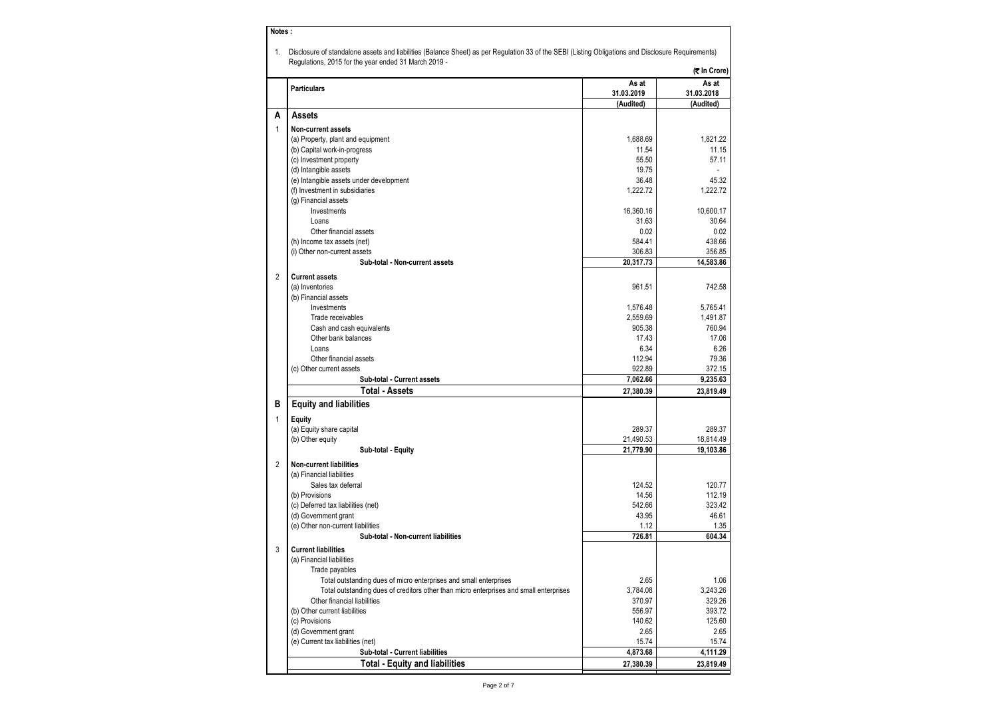| 1.             | Disclosure of standalone assets and liabilities (Balance Sheet) as per Regulation 33 of the SEBI (Listing Obligations and Disclosure Requirements) |            |              |
|----------------|----------------------------------------------------------------------------------------------------------------------------------------------------|------------|--------------|
|                | Regulations, 2015 for the year ended 31 March 2019 -                                                                                               |            | (₹ In Crore) |
|                | <b>Particulars</b>                                                                                                                                 | As at      | As at        |
|                |                                                                                                                                                    | 31.03.2019 | 31.03.2018   |
|                |                                                                                                                                                    | (Audited)  | (Audited)    |
| А              | <b>Assets</b>                                                                                                                                      |            |              |
| 1              | <b>Non-current assets</b>                                                                                                                          |            |              |
|                | (a) Property, plant and equipment                                                                                                                  | 1,688.69   | 1,821.22     |
|                | (b) Capital work-in-progress                                                                                                                       | 11.54      | 11.15        |
|                | (c) Investment property                                                                                                                            | 55.50      | 57.11        |
|                | (d) Intangible assets                                                                                                                              | 19.75      |              |
|                | (e) Intangible assets under development                                                                                                            | 36.48      | 45.32        |
|                | (f) Investment in subsidiaries<br>(g) Financial assets                                                                                             | 1,222.72   | 1,222.72     |
|                | Investments                                                                                                                                        | 16,360.16  | 10,600.17    |
|                | Loans                                                                                                                                              | 31.63      | 30.64        |
|                | Other financial assets                                                                                                                             | 0.02       | 0.02         |
|                | (h) Income tax assets (net)                                                                                                                        | 584.41     | 438.66       |
|                | (i) Other non-current assets                                                                                                                       | 306.83     | 356.85       |
|                | Sub-total - Non-current assets                                                                                                                     | 20,317.73  | 14,583.86    |
|                |                                                                                                                                                    |            |              |
| $\overline{2}$ | <b>Current assets</b>                                                                                                                              |            |              |
|                | (a) Inventories                                                                                                                                    | 961.51     | 742.58       |
|                | (b) Financial assets<br>Investments                                                                                                                | 1,576.48   | 5,765.41     |
|                | Trade receivables                                                                                                                                  | 2,559.69   | 1,491.87     |
|                | Cash and cash equivalents                                                                                                                          | 905.38     | 760.94       |
|                | Other bank balances                                                                                                                                | 17.43      | 17.06        |
|                | Loans                                                                                                                                              | 6.34       | 6.26         |
|                | Other financial assets                                                                                                                             | 112.94     | 79.36        |
|                | (c) Other current assets                                                                                                                           | 922.89     | 372.15       |
|                | Sub-total - Current assets                                                                                                                         | 7,062.66   | 9,235.63     |
|                | <b>Total - Assets</b>                                                                                                                              | 27,380.39  | 23,819.49    |
| в              | <b>Equity and liabilities</b>                                                                                                                      |            |              |
| $\mathbf{1}$   | Equity                                                                                                                                             |            |              |
|                | (a) Equity share capital                                                                                                                           | 289.37     | 289.37       |
|                | (b) Other equity                                                                                                                                   | 21,490.53  | 18,814.49    |
|                | Sub-total - Equity                                                                                                                                 | 21,779.90  | 19,103.86    |
|                |                                                                                                                                                    |            |              |
| $\overline{2}$ | <b>Non-current liabilities</b>                                                                                                                     |            |              |
|                | (a) Financial liabilities<br>Sales tax deferral                                                                                                    | 124.52     | 120.77       |
|                | (b) Provisions                                                                                                                                     | 14.56      | 112.19       |
|                | (c) Deferred tax liabilities (net)                                                                                                                 | 542.66     | 323.42       |
|                | (d) Government grant                                                                                                                               | 43.95      | 46.61        |
|                | (e) Other non-current liabilities                                                                                                                  | 1.12       | 1.35         |
|                | Sub-total - Non-current liabilities                                                                                                                | 726.81     | 604.34       |
| 3              | <b>Current liabilities</b>                                                                                                                         |            |              |
|                | (a) Financial liabilities                                                                                                                          |            |              |
|                | Trade payables                                                                                                                                     |            |              |
|                | Total outstanding dues of micro enterprises and small enterprises                                                                                  | 2.65       | 1.06         |
|                | Total outstanding dues of creditors other than micro enterprises and small enterprises                                                             | 3,784.08   | 3,243.26     |
|                | Other financial liabilities                                                                                                                        | 370.97     | 329.26       |
|                | (b) Other current liabilities                                                                                                                      | 556.97     | 393.72       |
|                | (c) Provisions                                                                                                                                     | 140.62     | 125.60       |
|                | (d) Government grant                                                                                                                               | 2.65       | 2.65         |
|                | (e) Current tax liabilities (net)                                                                                                                  | 15.74      | 15.74        |
|                | Sub-total - Current liabilities                                                                                                                    | 4,873.68   | 4,111.29     |
|                | <b>Total - Equity and liabilities</b>                                                                                                              | 27,380.39  | 23,819.49    |

**Notes :**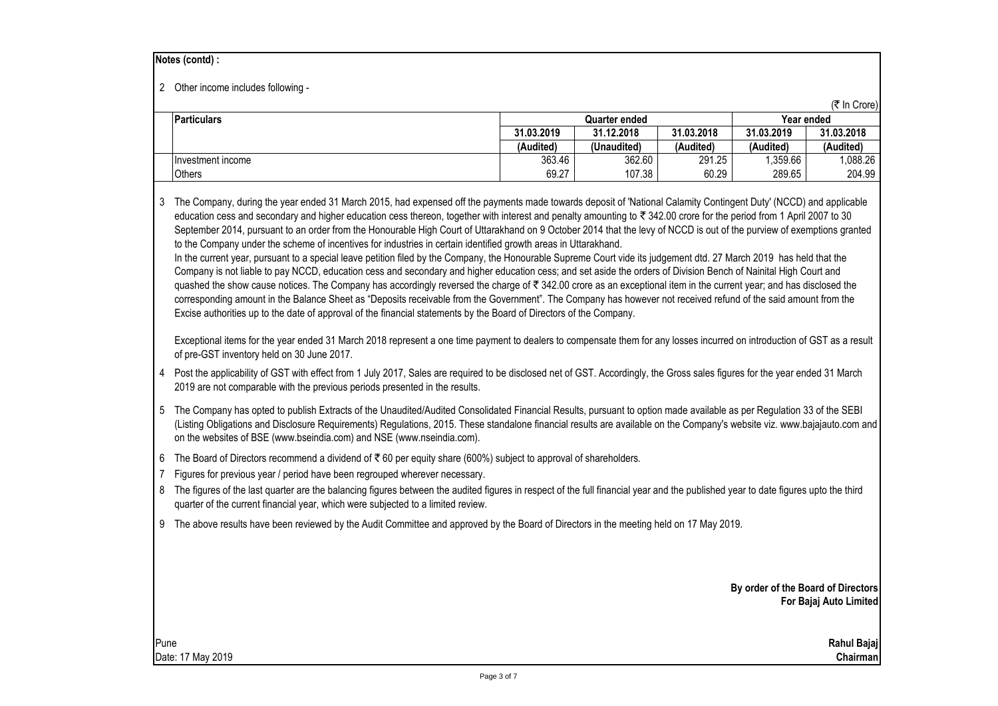#### **Notes (contd) :**

2 Other income includes following -

|                    |               |             |            |            | (₹ In Crore) |  |
|--------------------|---------------|-------------|------------|------------|--------------|--|
| <b>Particulars</b> | Quarter ended |             |            | Year ended |              |  |
|                    | 31.03.2019    | 31.12.2018  | 31.03.2018 | 31.03.2019 | 31.03.2018   |  |
|                    | (Audited)     | (Unaudited) | (Audited)  | (Audited)  | (Audited)    |  |
| Investment income  | 363.46        | 362.60      | 291.25     | .359.66    | .088.26      |  |
| <b>Others</b>      | 69.27         | 107.38      | 60.29      | 289.65     | 204.99       |  |

3 The Company, during the year ended 31 March 2015, had expensed off the payments made towards deposit of 'National Calamity Contingent Duty' (NCCD) and applicable education cess and secondary and higher education cess thereon, together with interest and penalty amounting to  $\bar{\tau}$  342.00 crore for the period from 1 April 2007 to 30 September 2014, pursuant to an order from the Honourable High Court of Uttarakhand on 9 October 2014 that the levy of NCCD is out of the purview of exemptions granted to the Company under the scheme of incentives for industries in certain identified growth areas in Uttarakhand.

In the current year, pursuant to a special leave petition filed by the Company, the Honourable Supreme Court vide its judgement dtd. 27 March 2019 has held that the Company is not liable to pay NCCD, education cess and secondary and higher education cess; and set aside the orders of Division Bench of Nainital High Court and quashed the show cause notices. The Company has accordingly reversed the charge of  $\overline{\xi}$  342.00 crore as an exceptional item in the current year; and has disclosed the corresponding amount in the Balance Sheet as "Deposits receivable from the Government". The Company has however not received refund of the said amount from the Excise authorities up to the date of approval of the financial statements by the Board of Directors of the Company.

Exceptional items for the year ended 31 March 2018 represent a one time payment to dealers to compensate them for any losses incurred on introduction of GST as a result of pre-GST inventory held on 30 June 2017.

- 4 Post the applicability of GST with effect from 1 July 2017, Sales are required to be disclosed net of GST. Accordingly, the Gross sales figures for the year ended 31 March 2019 are not comparable with the previous periods presented in the results.
- 5 The Company has opted to publish Extracts of the Unaudited/Audited Consolidated Financial Results, pursuant to option made available as per Regulation 33 of the SEBI (Listing Obligations and Disclosure Requirements) Regulations, 2015. These standalone financial results are available on the Company's website viz. www.bajajauto.com and on the websites of BSE (www.bseindia.com) and NSE (www.nseindia.com).
- 6 The Board of Directors recommend a dividend of ₹60 per equity share (600%) subject to approval of shareholders.
- 7 Figures for previous year / period have been regrouped wherever necessary.
- 8 The figures of the last quarter are the balancing figures between the audited figures in respect of the full financial year and the published year to date figures upto the third quarter of the current financial year, which were subjected to a limited review.
- 9 The above results have been reviewed by the Audit Committee and approved by the Board of Directors in the meeting held on 17 May 2019.

**By order of the Board of Directors For Bajaj Auto Limited**

Pune **Rahul Bajaj** Date: 17 May 2019 **Chairman**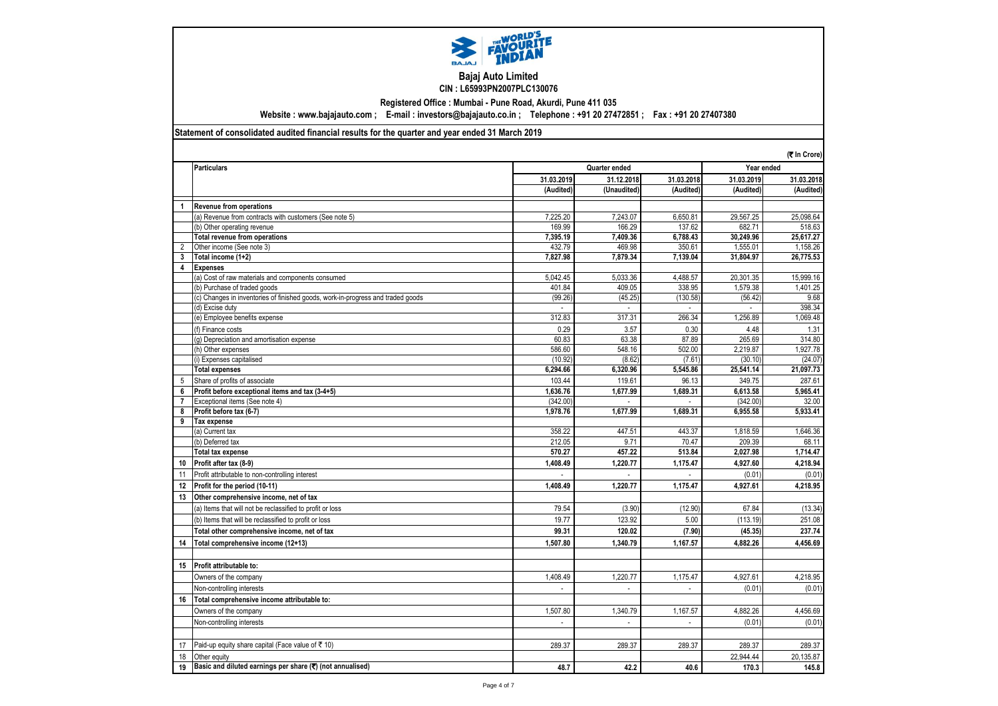

#### **Bajaj Auto Limited CIN : L65993PN2007PLC130076**

**Registered Office : Mumbai - Pune Road, Akurdi, Pune 411 035**

**Website : www.bajajauto.com ; E-mail : investors@bajajauto.co.in ; Telephone : +91 20 27472851 ; Fax : +91 20 27407380**

## **Statement of consolidated audited financial results for the quarter and year ended 31 March 2019**

|                                                                                 |                                                                                 |            | (₹ In Crore)             |                          |            |            |  |
|---------------------------------------------------------------------------------|---------------------------------------------------------------------------------|------------|--------------------------|--------------------------|------------|------------|--|
|                                                                                 | <b>Particulars</b>                                                              |            | Quarter ended            |                          | Year ended |            |  |
|                                                                                 |                                                                                 | 31.03.2019 | 31.12.2018               | 31.03.2018               | 31.03.2019 | 31.03.2018 |  |
|                                                                                 |                                                                                 | (Audited)  | (Unaudited)              | (Audited)                | (Audited)  | (Audited)  |  |
| $\mathbf{1}$                                                                    | <b>Revenue from operations</b>                                                  |            |                          |                          |            |            |  |
|                                                                                 | (a) Revenue from contracts with customers (See note 5)                          | 7,225.20   | 7,243.07                 | 6,650.81                 | 29,567.25  | 25,098.64  |  |
|                                                                                 | (b) Other operating revenue                                                     | 169.99     | 166.29                   | 137.62                   | 682.71     | 518.63     |  |
|                                                                                 | <b>Total revenue from operations</b>                                            | 7.395.19   | 7.409.36                 | 6.788.43                 | 30.249.96  | 25.617.27  |  |
| $\overline{2}$                                                                  | Other income (See note 3)                                                       | 432.79     | 469.98                   | 350.61                   | 1,555.01   | 1,158.26   |  |
| 3                                                                               | Total income (1+2)                                                              | 7.827.98   | 7.879.34                 | 7,139.04                 | 31,804.97  | 26,775.53  |  |
| 4                                                                               | <b>Expenses</b>                                                                 |            |                          |                          |            |            |  |
|                                                                                 | (a) Cost of raw materials and components consumed                               | 5,042.45   | 5,033.36                 | 4,488.57                 | 20,301.35  | 15,999.16  |  |
|                                                                                 | (b) Purchase of traded goods                                                    | 401.84     | 409.05                   | 338.95                   | 1.579.38   | 1.401.25   |  |
|                                                                                 | (c) Changes in inventories of finished goods, work-in-progress and traded goods | (99.26)    | (45.25)                  | (130.58)                 | (56.42)    | 9.68       |  |
|                                                                                 | (d) Excise duty                                                                 |            |                          |                          |            | 398.34     |  |
|                                                                                 | (e) Employee benefits expense                                                   | 312.83     | 317.31                   | 266.34                   | 1,256.89   | 1,069.48   |  |
|                                                                                 | (f) Finance costs                                                               | 0.29       | 3.57                     | 0.30                     | 4.48       | 1.31       |  |
|                                                                                 | (q) Depreciation and amortisation expense                                       | 60.83      | 63.38                    | 87.89                    | 265.69     | 314.80     |  |
|                                                                                 | (h) Other expenses                                                              | 586.60     | 548.16                   | 502.00                   | 2.219.87   | 1,927.78   |  |
|                                                                                 | (i) Expenses capitalised                                                        | (10.92)    | (8.62)                   | (7.61)                   | (30.10)    | (24.07)    |  |
|                                                                                 | <b>Total expenses</b>                                                           | 6.294.66   | 6.320.96                 | 5.545.86                 | 25,541.14  | 21,097.73  |  |
| 5                                                                               | Share of profits of associate                                                   | 103.44     | 119.61                   | 96.13                    | 349.75     | 287.61     |  |
| 6                                                                               | Profit before exceptional items and tax (3-4+5)                                 | 1,636.76   | 1,677.99                 | 1,689.31                 | 6,613.58   | 5,965.41   |  |
| $\overline{7}$                                                                  | Exceptional items (See note 4)                                                  | (342.00)   | $\overline{a}$           | $\sim$                   | (342.00)   | 32.00      |  |
| 8                                                                               | Profit before tax (6-7)                                                         | 1,978.76   | 1,677.99                 | 1,689.31                 | 6,955.58   | 5,933.41   |  |
| 9                                                                               | <b>Tax expense</b>                                                              |            |                          |                          |            |            |  |
|                                                                                 | (a) Current tax                                                                 | 358.22     | 447.51                   | 443.37                   | 1.818.59   | 1.646.36   |  |
|                                                                                 | (b) Deferred tax                                                                | 212.05     | 9.71                     | 70.47                    | 209.39     | 68.11      |  |
|                                                                                 | <b>Total tax expense</b>                                                        | 570.27     | 457.22                   | 513.84                   | 2.027.98   | 1,714.47   |  |
| 10                                                                              | Profit after tax (8-9)                                                          | 1,408.49   | 1,220.77                 | 1,175.47                 | 4,927.60   | 4,218.94   |  |
| 11                                                                              | Profit attributable to non-controlling interest                                 |            | $\overline{\phantom{a}}$ | $\sim$                   | (0.01)     | (0.01)     |  |
| 12                                                                              | Profit for the period (10-11)                                                   | 1,408.49   | 1,220.77                 | 1,175.47                 | 4,927.61   | 4,218.95   |  |
| 13                                                                              | Other comprehensive income, net of tax                                          |            |                          |                          |            |            |  |
|                                                                                 | (a) Items that will not be reclassified to profit or loss                       | 79.54      | (3.90)                   | (12.90)                  | 67.84      | (13.34)    |  |
|                                                                                 | (b) Items that will be reclassified to profit or loss                           | 19.77      | 123.92                   | 5.00                     | (113.19)   | 251.08     |  |
|                                                                                 | Total other comprehensive income, net of tax                                    | 99.31      | 120.02                   | (7.90)                   | (45.35)    | 237.74     |  |
| 14                                                                              | Total comprehensive income (12+13)                                              | 1,507.80   | 1.340.79                 | 1,167.57                 | 4,882.26   | 4,456.69   |  |
|                                                                                 |                                                                                 |            |                          |                          |            |            |  |
|                                                                                 |                                                                                 |            |                          |                          |            |            |  |
| 15                                                                              | Profit attributable to:                                                         |            |                          |                          |            |            |  |
|                                                                                 | Owners of the company                                                           | 1,408.49   | 1,220.77                 | 1,175.47                 | 4,927.61   | 4,218.95   |  |
|                                                                                 | Non-controlling interests                                                       |            |                          |                          | (0.01)     | (0.01)     |  |
| 16                                                                              | Total comprehensive income attributable to:                                     |            |                          |                          |            |            |  |
|                                                                                 | Owners of the company                                                           | 1,507.80   | 1,340.79                 | 1,167.57                 | 4,882.26   | 4,456.69   |  |
|                                                                                 | Non-controlling interests                                                       |            | L.                       | $\overline{\phantom{a}}$ | (0.01)     | (0.01)     |  |
|                                                                                 |                                                                                 |            |                          |                          |            |            |  |
| 17                                                                              | Paid-up equity share capital (Face value of ₹ 10)                               | 289.37     | 289.37                   | 289.37                   | 289.37     | 289.37     |  |
| 18                                                                              | Other equity                                                                    |            |                          |                          | 22,944.44  | 20,135.87  |  |
| Basic and diluted earnings per share $(\overline{\mathbf{x}})$ (not annualised) |                                                                                 |            |                          |                          |            |            |  |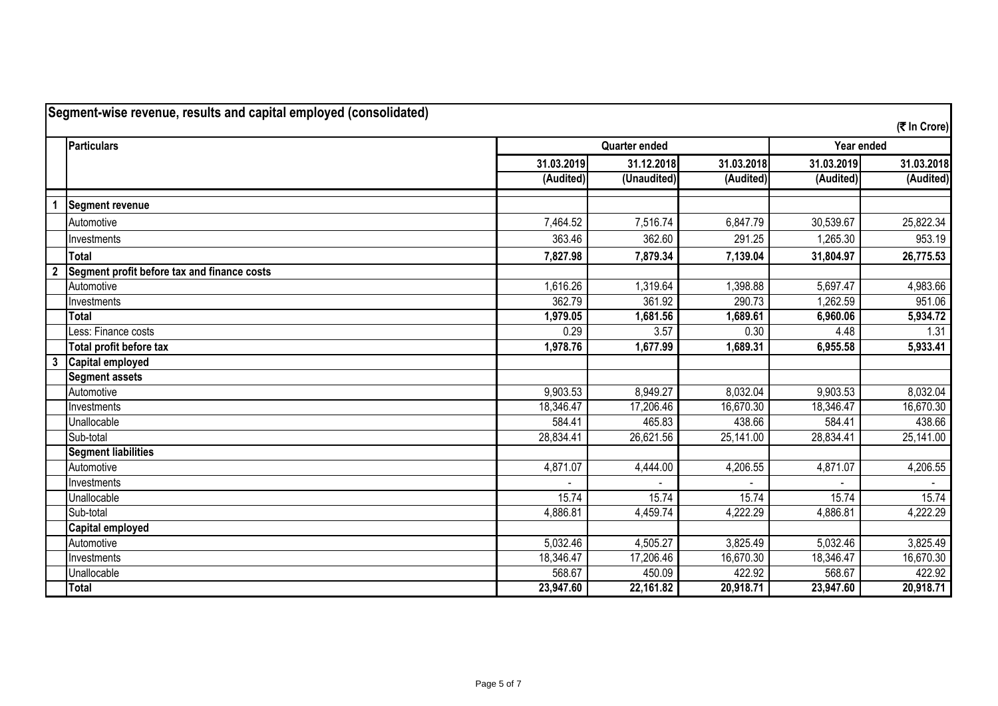|   | <b>Particulars</b>                          | <b>Quarter ended</b> |             |            | Year ended |            |
|---|---------------------------------------------|----------------------|-------------|------------|------------|------------|
|   |                                             | 31.03.2019           | 31.12.2018  | 31.03.2018 | 31.03.2019 | 31.03.2018 |
|   |                                             | (Audited)            | (Unaudited) | (Audited)  | (Audited)  | (Audited)  |
|   | <b>Segment revenue</b>                      |                      |             |            |            |            |
|   | Automotive                                  | 7,464.52             | 7,516.74    | 6,847.79   | 30,539.67  | 25,822.34  |
|   | Investments                                 | 363.46               | 362.60      | 291.25     | 1,265.30   | 953.19     |
|   | <b>Total</b>                                | 7,827.98             | 7,879.34    | 7,139.04   | 31,804.97  | 26,775.53  |
|   | Segment profit before tax and finance costs |                      |             |            |            |            |
|   | Automotive                                  | 1,616.26             | 1,319.64    | 1,398.88   | 5,697.47   | 4,983.66   |
|   | Investments                                 | 362.79               | 361.92      | 290.73     | 1,262.59   | 951.06     |
|   | <b>Total</b>                                | 1,979.05             | 1,681.56    | 1,689.61   | 6,960.06   | 5,934.72   |
|   | Less: Finance costs                         | 0.29                 | 3.57        | 0.30       | 4.48       | 1.31       |
|   | Total profit before tax                     | 1,978.76             | 1,677.99    | 1,689.31   | 6,955.58   | 5,933.41   |
| 3 | Capital employed                            |                      |             |            |            |            |
|   | <b>Segment assets</b>                       |                      |             |            |            |            |
|   | Automotive                                  | 9,903.53             | 8,949.27    | 8,032.04   | 9,903.53   | 8,032.04   |
|   | Investments                                 | 18,346.47            | 17,206.46   | 16,670.30  | 18,346.47  | 16,670.30  |
|   | Unallocable                                 | 584.41               | 465.83      | 438.66     | 584.41     | 438.66     |
|   | Sub-total                                   | 28,834.41            | 26,621.56   | 25,141.00  | 28,834.41  | 25,141.00  |
|   | <b>Segment liabilities</b>                  |                      |             |            |            |            |
|   | Automotive                                  | 4,871.07             | 4,444.00    | 4,206.55   | 4,871.07   | 4,206.55   |
|   | Investments                                 |                      |             |            |            |            |
|   | Unallocable                                 | 15.74                | 15.74       | 15.74      | 15.74      | 15.74      |
|   | Sub-total                                   | 4,886.81             | 4,459.74    | 4,222.29   | 4,886.81   | 4,222.29   |
|   | Capital employed                            |                      |             |            |            |            |
|   | Automotive                                  | 5,032.46             | 4,505.27    | 3,825.49   | 5,032.46   | 3,825.49   |
|   | Investments                                 | 18,346.47            | 17,206.46   | 16,670.30  | 18,346.47  | 16,670.30  |
|   | Unallocable                                 | 568.67               | 450.09      | 422.92     | 568.67     | 422.92     |
|   | <b>Total</b>                                | 23,947.60            | 22,161.82   | 20,918.71  | 23,947.60  | 20,918.71  |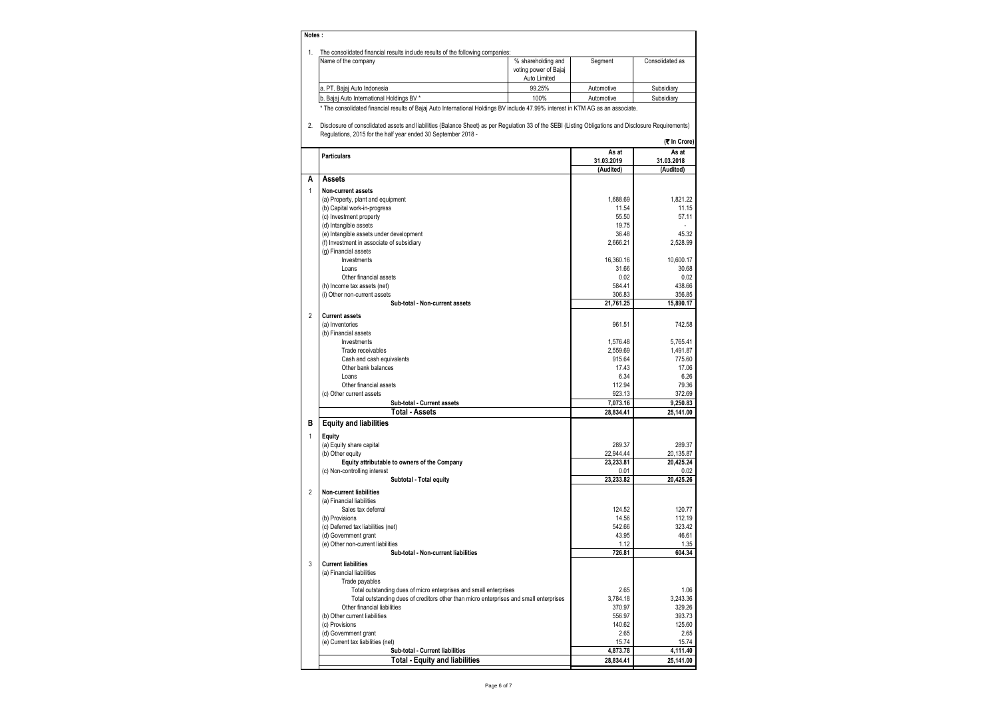### **Notes :**

1. The consolidated financial results include results of the following companies:

| . הסטווואטוווטט מווידוסיוטו טו וט טאומטט טטענט וועט וואסט וואס וואסטוווי וואסטוויטט טווו |                       |            |                 |
|------------------------------------------------------------------------------------------|-----------------------|------------|-----------------|
| Name of the company                                                                      | % shareholding and    | Seament    | Consolidated as |
|                                                                                          | voting power of Bajaj |            |                 |
|                                                                                          | Auto Limited          |            |                 |
| la. PT. Baiai Auto Indonesia                                                             | 99.25%                | Automotive | Subsidiary      |
| b. Bajaj Auto International Holdings BV *                                                | 100%                  | Automotive | Subsidiary      |
|                                                                                          |                       |            |                 |

\* The consolidated financial results of Bajaj Auto International Holdings BV include 47.99% interest in KTM AG as an associate.

2. Disclosure of consolidated assets and liabilities (Balance Sheet) as per Regulation 33 of the SEBI (Listing Obligations and Disclosure Requirements) Regulations, 2015 for the half year ended 30 September 2018 - **(**` **In Crore)**

|                | <b>Particulars</b>                                                                                                    | As at             | As at             |
|----------------|-----------------------------------------------------------------------------------------------------------------------|-------------------|-------------------|
|                |                                                                                                                       | 31.03.2019        | 31.03.2018        |
| A              |                                                                                                                       | (Audited)         | (Audited)         |
|                | Assets                                                                                                                |                   |                   |
| $\mathbf{1}$   | Non-current assets                                                                                                    |                   |                   |
|                | (a) Property, plant and equipment                                                                                     | 1.688.69          | 1.821.22          |
|                | (b) Capital work-in-progress                                                                                          | 11.54             | 11.15             |
|                | (c) Investment property                                                                                               | 55.50             | 57.11             |
|                | (d) Intangible assets                                                                                                 | 19.75             |                   |
|                | (e) Intangible assets under development                                                                               | 36.48             | 45.32             |
|                | (f) Investment in associate of subsidiary                                                                             | 2,666.21          | 2,528.99          |
|                | (g) Financial assets<br>Investments                                                                                   | 16,360.16         | 10,600.17         |
|                | Loans                                                                                                                 | 31.66             | 30.68             |
|                | Other financial assets                                                                                                | 0.02              | 0.02              |
|                | (h) Income tax assets (net)                                                                                           | 584.41            | 438.66            |
|                | (i) Other non-current assets                                                                                          | 306.83            | 356.85            |
|                | Sub-total - Non-current assets                                                                                        | 21,761.25         | 15,890.17         |
|                |                                                                                                                       |                   |                   |
| $\overline{2}$ | <b>Current assets</b>                                                                                                 | 961.51            | 742.58            |
|                | (a) Inventories<br>(b) Financial assets                                                                               |                   |                   |
|                | Investments                                                                                                           | 1,576.48          | 5,765.41          |
|                | Trade receivables                                                                                                     | 2.559.69          | 1,491.87          |
|                | Cash and cash equivalents                                                                                             | 915.64            | 775.60            |
|                | Other bank balances                                                                                                   | 17.43             | 17.06             |
|                | Loans                                                                                                                 | 6.34              | 6.26              |
|                | Other financial assets                                                                                                | 112.94            | 79.36             |
|                | (c) Other current assets                                                                                              | 923.13            | 372.69            |
|                | Sub-total - Current assets                                                                                            | 7,073.16          | 9,250.83          |
|                | <b>Total - Assets</b>                                                                                                 | 28,834.41         | 25,141.00         |
| в              | <b>Equity and liabilities</b>                                                                                         |                   |                   |
|                |                                                                                                                       |                   |                   |
| $\mathbf{1}$   | <b>Equity</b>                                                                                                         |                   |                   |
|                | (a) Equity share capital                                                                                              | 289.37            | 289.37            |
|                | (b) Other equity                                                                                                      | 22,944.44         | 20,135.87         |
|                | Equity attributable to owners of the Company                                                                          | 23,233.81         | 20,425.24         |
|                | (c) Non-controlling interest                                                                                          | 0.01<br>23.233.82 | 0.02<br>20.425.26 |
|                | Subtotal - Total equity                                                                                               |                   |                   |
| $\overline{2}$ | <b>Non-current liabilities</b>                                                                                        |                   |                   |
|                | (a) Financial liabilities                                                                                             |                   |                   |
|                | Sales tax deferral                                                                                                    | 124.52            | 120.77            |
|                | (b) Provisions                                                                                                        | 14.56             | 112.19            |
|                | (c) Deferred tax liabilities (net)                                                                                    | 542.66            | 323.42            |
|                | (d) Government grant                                                                                                  | 43.95             | 46.61             |
|                | (e) Other non-current liabilities<br>Sub-total - Non-current liabilities                                              | 1.12<br>726.81    | 1.35<br>604.34    |
|                |                                                                                                                       |                   |                   |
| 3              | <b>Current liabilities</b>                                                                                            |                   |                   |
|                | (a) Financial liabilities                                                                                             |                   |                   |
|                | Trade payables                                                                                                        |                   |                   |
|                | Total outstanding dues of micro enterprises and small enterprises                                                     | 2.65              | 1.06              |
|                | Total outstanding dues of creditors other than micro enterprises and small enterprises<br>Other financial liabilities | 3.784.18          | 3.243.36          |
|                |                                                                                                                       | 370.97            | 329.26<br>393.73  |
|                | (b) Other current liabilities                                                                                         | 556.97<br>140.62  | 125.60            |
|                | (c) Provisions<br>(d) Government grant                                                                                | 2.65              | 2.65              |
|                | (e) Current tax liabilities (net)                                                                                     | 15.74             | 15.74             |
|                | Sub-total - Current liabilities                                                                                       | 4,873.78          | 4,111.40          |
|                | <b>Total - Equity and liabilities</b>                                                                                 | 28,834.41         | 25,141.00         |
|                |                                                                                                                       |                   |                   |